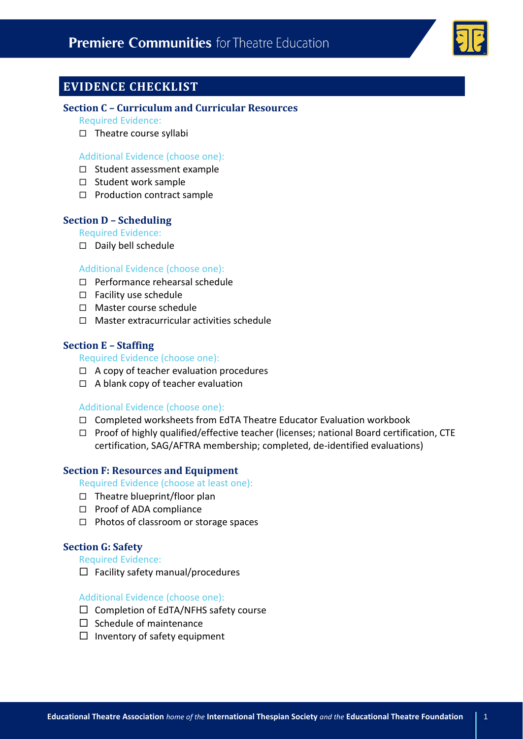

# **EVIDENCE CHECKLIST**

### **Section C – Curriculum and Curricular Resources**

- Required Evidence:
- $\Box$  Theatre course syllabi

#### Additional Evidence (choose one):

- $\square$  Student assessment example
- $\square$  Student work sample
- $\square$  Production contract sample

## **Section D – Scheduling**

#### Required Evidence:

Daily bell schedule

#### Additional Evidence (choose one):

- $\Box$  Performance rehearsal schedule
- $\Box$  Facility use schedule
- □ Master course schedule
- $\Box$  Master extracurricular activities schedule

## **Section E – Staffing**

#### Required Evidence (choose one):

- $\Box$  A copy of teacher evaluation procedures
- $\Box$  A blank copy of teacher evaluation

## Additional Evidence (choose one):

- $\Box$  Completed worksheets from EdTA Theatre Educator Evaluation workbook
- $\Box$  Proof of highly qualified/effective teacher (licenses; national Board certification, CTE certification, SAG/AFTRA membership; completed, de-identified evaluations)

## **Section F: Resources and Equipment**

Required Evidence (choose at least one):

- $\Box$  Theatre blueprint/floor plan
- $\Box$  Proof of ADA compliance
- $\Box$  Photos of classroom or storage spaces

## **Section G: Safety**

#### Required Evidence:

 $\Box$  Facility safety manual/procedures

## Additional Evidence (choose one):

- $\Box$  Completion of EdTA/NFHS safety course
- $\square$  Schedule of maintenance
- $\Box$  Inventory of safety equipment